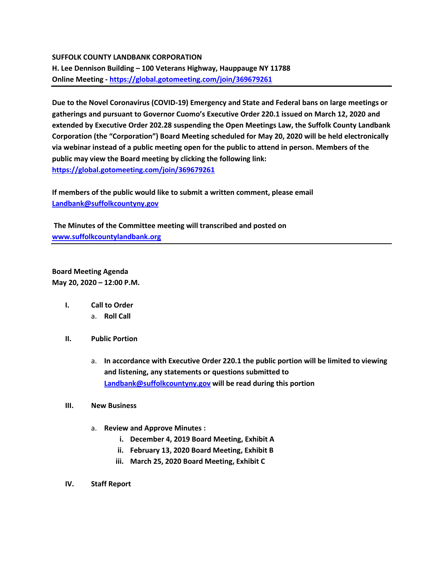## **SUFFOLK COUNTY LANDBANK CORPORATION**

**H. Lee Dennison Building – 100 Veterans Highway, Hauppauge NY 11788 Online Meeting - <https://global.gotomeeting.com/join/369679261>**

**Due to the Novel Coronavirus (COVID-19) Emergency and State and Federal bans on large meetings or gatherings and pursuant to Governor Cuomo's Executive Order 220.1 issued on March 12, 2020 and extended by Executive Order 202.28 suspending the Open Meetings Law, the Suffolk County Landbank Corporation (the "Corporation") Board Meeting scheduled for May 20, 2020 will be held electronically via webinar instead of a public meeting open for the public to attend in person. Members of the public may view the Board meeting by clicking the following link: <https://global.gotomeeting.com/join/369679261>**

**If members of the public would like to submit a written comment, please email [Landbank@suffolkcountyny.gov](mailto:Landbank@suffolkcountyny.gov)**

**The Minutes of the Committee meeting will transcribed and posted on [www.suffolkcountylandbank.org](http://www.suffolkcountylandbank.org/)**

**Board Meeting Agenda May 20, 2020 – 12:00 P.M.**

- **I. Call to Order** 
	- a. **Roll Call**
- **II. Public Portion** 
	- a. **In accordance with Executive Order 220.1 the public portion will be limited to viewing and listening, any statements or questions submitted to [Landbank@suffolkcountyny.gov](mailto:Landbank@suffolkcountyny.gov) will be read during this portion**

## **III. New Business**

- a. **Review and Approve Minutes :**
	- **i. December 4, 2019 Board Meeting, Exhibit A**
	- **ii. February 13, 2020 Board Meeting, Exhibit B**
	- **iii. March 25, 2020 Board Meeting, Exhibit C**
- **IV. Staff Report**